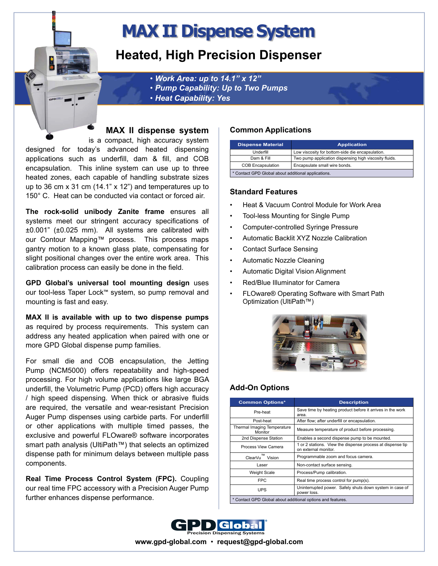# **MAX II Dispense System**

# **Heated, High Precision Dispenser**

• *Work Area: up to 14.1" x 12"* 

- • *Pump Capability: Up to Two Pumps*
- • *Heat Capability: Yes*

### **MAX II dispense system**

is a compact, high accuracy system designed for today's advanced heated dispensing applications such as underfill, dam & fill, and COB encapsulation. This inline system can use up to three heated zones, each capable of handling substrate sizes up to 36 cm x 31 cm (14.1" x 12") and temperatures up to 150° C. Heat can be conducted via contact or forced air.

**The rock-solid unibody Zanite frame** ensures all systems meet our stringent accuracy specifications of ±0.001" (±0.025 mm). All systems are calibrated with our Contour Mapping™ process. This process maps gantry motion to a known glass plate, compensating for slight positional changes over the entire work area. This calibration process can easily be done in the field.

**GPD Global's universal tool mounting design** uses our tool-less Taper Lock™ system, so pump removal and mounting is fast and easy.

**MAX II is available with up to two dispense pumps**  as required by process requirements. This system can address any heated application when paired with one or more GPD Global dispense pump families.

For small die and COB encapsulation, the Jetting Pump (NCM5000) offers repeatability and high-speed processing. For high volume applications like large BGA underfill, the Volumetric Pump (PCD) offers high accuracy / high speed dispensing. When thick or abrasive fluids are required, the versatile and wear-resistant Precision Auger Pump dispenses using carbide parts. For underfill or other applications with multiple timed passes, the exclusive and powerful FLOware® software incorporates smart path analysis (UltiPath™) that selects an optimized dispense path for minimum delays between multiple pass components.

**Real Time Process Control System (FPC).** Coupling our real time FPC accessory with a Precision Auger Pump further enhances dispense performance.

# **Common Applications**

| <b>Dispense Material</b>                            | <b>Application</b>                                     |
|-----------------------------------------------------|--------------------------------------------------------|
| Underfill                                           | Low viscosity for bottom-side die encapsulation.       |
| Dam & Fill                                          | Two pump application dispensing high viscosity fluids. |
| <b>COB Encapsulation</b>                            | Encapsulate small wire bonds.                          |
| * Contact GPD Global about additional applications. |                                                        |

### **Standard Features**

- Heat & Vacuum Control Module for Work Area
- Tool-less Mounting for Single Pump
- Computer-controlled Syringe Pressure
- Automatic Backlit XYZ Nozzle Calibration
- Contact Surface Sensing
- Automatic Nozzle Cleaning
- Automatic Digital Vision Alignment
- Red/Blue Illuminator for Camera
- FLOware® Operating Software with Smart Path Optimization (UltiPath™)



# **Add-On Options**

| <b>Common Options*</b>                                      | <b>Description</b>                                                                 |
|-------------------------------------------------------------|------------------------------------------------------------------------------------|
| Pre-heat                                                    | Save time by heating product before it arrives in the work<br>area.                |
| Post-heat                                                   | After flow; after underfill or encapsulation.                                      |
| Thermal Imaging Temperature<br>Monitor                      | Measure temperature of product before processing.                                  |
| 2nd Dispense Station                                        | Enables a second dispense pump to be mounted.                                      |
| Process View Camera                                         | 1 or 2 stations. View the dispense process at dispense tip<br>on external monitor. |
| <b>TM</b><br>ClearVu<br>Vision                              | Programmable zoom and focus camera.                                                |
| Laser                                                       | Non-contact surface sensing.                                                       |
| <b>Weight Scale</b>                                         | Process/Pump calibration.                                                          |
| <b>FPC</b>                                                  | Real time process control for pump(s).                                             |
| <b>UPS</b>                                                  | Uninterrupted power. Safely shuts down system in case of<br>power loss.            |
| * Contact GPD Global about additional options and features. |                                                                                    |



**www.gpd-global.com** • **request@gpd-global.com**